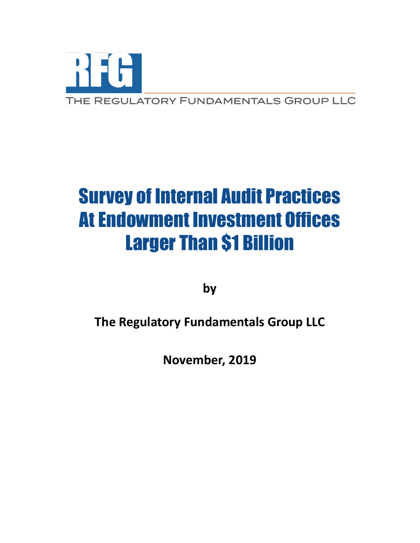

# Survey of Internal Audit Practices At Endowment Investment Offices Larger Than \$1 Billion

**by** 

**The Regulatory Fundamentals Group LLC**

**November, 2019**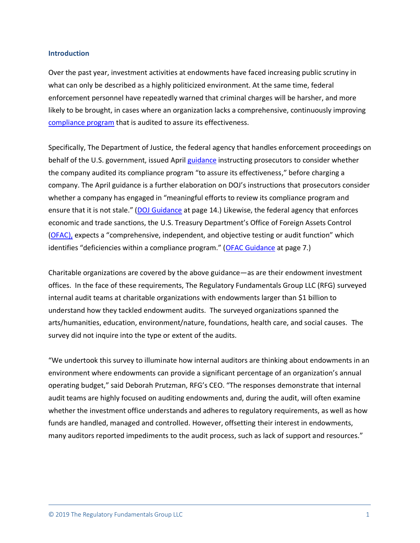#### **Introduction**

Over the past year, investment activities at endowments have faced increasing public scrutiny in what can only be described as a highly politicized environment. At the same time, federal enforcement personnel have repeatedly warned that criminal charges will be harsher, and more likely to be brought, in cases where an organization lacks a comprehensive, continuously improving [compliance program](https://mailchi.mp/regfg/rfg-weekly-roundup-may-17-2019?e=c91a0149ed#mctoc1) that is audited to assure its effectiveness.

Specifically, The Department of Justice, the federal agency that handles enforcement proceedings on behalf of the U.S. government, issued April [guidance](https://www.justice.gov/criminal-fraud/page/file/937501/download) instructing prosecutors to consider whether the company audited its compliance program "to assure its effectiveness," before charging a company. The April guidance is a further elaboration on DOJ's instructions that prosecutors consider whether a company has engaged in "meaningful efforts to review its compliance program and ensure that it is not stale." ([DOJ Guidance](https://www.justice.gov/criminal-fraud/page/file/937501/download) at page 14.) Likewise, the federal agency that enforces economic and trade sanctions, the U.S. Treasury Department's Office of Foreign Assets Control [\(OFAC\)](https://en.wikipedia.org/wiki/Office_of_Foreign_Assets_Control), expects a "comprehensive, independent, and objective testing or audit function" which identifies "deficiencies within a compliance program." ([OFAC Guidance](https://www.treasury.gov/resource-center/sanctions/Documents/framework_ofac_cc.pdf) at page 7.)

Charitable organizations are covered by the above guidance—as are their endowment investment offices. In the face of these requirements, The Regulatory Fundamentals Group LLC (RFG) surveyed internal audit teams at charitable organizations with endowments larger than \$1 billion to understand how they tackled endowment audits. The surveyed organizations spanned the arts/humanities, education, environment/nature, foundations, health care, and social causes. The survey did not inquire into the type or extent of the audits.

"We undertook this survey to illuminate how internal auditors are thinking about endowments in an environment where endowments can provide a significant percentage of an organization's annual operating budget," said Deborah Prutzman, RFG's CEO. "The responses demonstrate that internal audit teams are highly focused on auditing endowments and, during the audit, will often examine whether the investment office understands and adheres to regulatory requirements, as well as how funds are handled, managed and controlled. However, offsetting their interest in endowments, many auditors reported impediments to the audit process, such as lack of support and resources."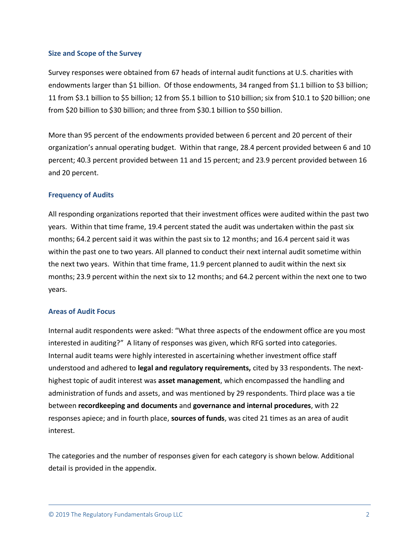#### **Size and Scope of the Survey**

Survey responses were obtained from 67 heads of internal audit functions at U.S. charities with endowments larger than \$1 billion. Of those endowments, 34 ranged from \$1.1 billion to \$3 billion; 11 from \$3.1 billion to \$5 billion; 12 from \$5.1 billion to \$10 billion; six from \$10.1 to \$20 billion; one from \$20 billion to \$30 billion; and three from \$30.1 billion to \$50 billion.

More than 95 percent of the endowments provided between 6 percent and 20 percent of their organization's annual operating budget. Within that range, 28.4 percent provided between 6 and 10 percent; 40.3 percent provided between 11 and 15 percent; and 23.9 percent provided between 16 and 20 percent.

## **Frequency of Audits**

All responding organizations reported that their investment offices were audited within the past two years. Within that time frame, 19.4 percent stated the audit was undertaken within the past six months; 64.2 percent said it was within the past six to 12 months; and 16.4 percent said it was within the past one to two years. All planned to conduct their next internal audit sometime within the next two years. Within that time frame, 11.9 percent planned to audit within the next six months; 23.9 percent within the next six to 12 months; and 64.2 percent within the next one to two years.

# **Areas of Audit Focus**

Internal audit respondents were asked: "What three aspects of the endowment office are you most interested in auditing?" A litany of responses was given, which RFG sorted into categories. Internal audit teams were highly interested in ascertaining whether investment office staff understood and adhered to **legal and regulatory requirements,** cited by 33 respondents. The nexthighest topic of audit interest was **asset management**, which encompassed the handling and administration of funds and assets, and was mentioned by 29 respondents. Third place was a tie between **recordkeeping and documents** and **governance and internal procedures**, with 22 responses apiece; and in fourth place, **sources of funds**, was cited 21 times as an area of audit interest.

The categories and the number of responses given for each category is shown below. Additional detail is provided in the appendix.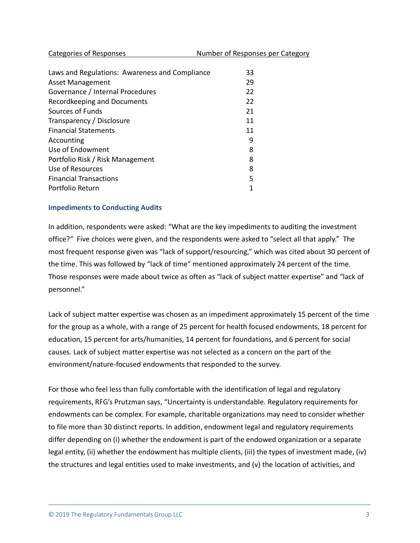| Categories of Responses | Number of Responses per Category |
|-------------------------|----------------------------------|
|                         |                                  |

| Laws and Regulations: Awareness and Compliance<br><b>Asset Management</b> | 33<br>29 |
|---------------------------------------------------------------------------|----------|
| Governance / Internal Procedures                                          | 22       |
| Recordkeeping and Documents                                               | 22       |
| Sources of Funds                                                          | 21       |
| Transparency / Disclosure                                                 | 11       |
| <b>Financial Statements</b>                                               | 11       |
| Accounting                                                                | 9        |
| Use of Endowment                                                          | 8        |
| Portfolio Risk / Risk Management                                          | 8        |
| Use of Resources                                                          | 8        |
| <b>Financial Transactions</b>                                             | 5        |
| Portfolio Return                                                          | 1        |

#### **Impediments to Conducting Audits**

In addition, respondents were asked: "What are the key impediments to auditing the investment office?" Five choices were given, and the respondents were asked to "select all that apply." The most frequent response given was "lack of support/resourcing," which was cited about 30 percent of the time. This was followed by "lack of time" mentioned approximately 24 percent of the time. Those responses were made about twice as often as "lack of subject matter expertise" and "lack of personnel."

Lack of subject matter expertise was chosen as an impediment approximately 15 percent of the time for the group as a whole, with a range of 25 percent for health focused endowments, 18 percent for education, 15 percent for arts/humanities, 14 percent for foundations, and 6 percent for social causes. Lack of subject matter expertise was not selected as a concern on the part of the environment/nature-focused endowments that responded to the survey.

For those who feel less than fully comfortable with the identification of legal and regulatory requirements, RFG's Prutzman says, "Uncertainty is understandable. Regulatory requirements for endowments can be complex. For example, charitable organizations may need to consider whether to file more than 30 distinct reports. In addition, endowment legal and regulatory requirements differ depending on (i) whether the endowment is part of the endowed organization or a separate legal entity, (ii) whether the endowment has multiple clients, (iii) the types of investment made, (iv) the structures and legal entities used to make investments, and (v) the location of activities, and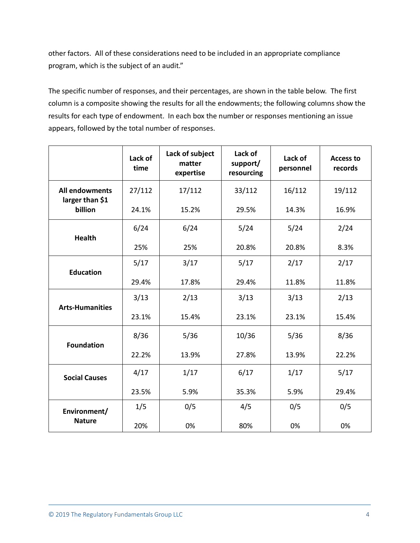other factors. All of these considerations need to be included in an appropriate compliance program, which is the subject of an audit."

The specific number of responses, and their percentages, are shown in the table below. The first column is a composite showing the results for all the endowments; the following columns show the results for each type of endowment. In each box the number or responses mentioning an issue appears, followed by the total number of responses.

|                                                     | Lack of<br>time | Lack of subject<br>matter<br>expertise | Lack of<br>support/<br>resourcing | Lack of<br>personnel | <b>Access to</b><br>records |
|-----------------------------------------------------|-----------------|----------------------------------------|-----------------------------------|----------------------|-----------------------------|
| <b>All endowments</b><br>larger than \$1<br>billion | 27/112          | 17/112                                 | 33/112                            | 16/112               | 19/112                      |
|                                                     | 24.1%           | 15.2%                                  | 29.5%                             | 14.3%                | 16.9%                       |
| <b>Health</b>                                       | 6/24            | 6/24                                   | 5/24                              | 5/24                 | 2/24                        |
|                                                     | 25%             | 25%                                    | 20.8%                             | 20.8%                | 8.3%                        |
| <b>Education</b>                                    | 5/17            | 3/17                                   | 5/17                              | 2/17                 | 2/17                        |
|                                                     | 29.4%           | 17.8%                                  | 29.4%                             | 11.8%                | 11.8%                       |
| <b>Arts-Humanities</b>                              | 3/13            | 2/13                                   | 3/13                              | 3/13                 | 2/13                        |
|                                                     | 23.1%           | 15.4%                                  | 23.1%                             | 23.1%                | 15.4%                       |
| <b>Foundation</b>                                   | 8/36            | 5/36                                   | 10/36                             | 5/36                 | 8/36                        |
|                                                     | 22.2%           | 13.9%                                  | 27.8%                             | 13.9%                | 22.2%                       |
| <b>Social Causes</b>                                | 4/17            | 1/17                                   | 6/17                              | 1/17                 | 5/17                        |
|                                                     | 23.5%           | 5.9%                                   | 35.3%                             | 5.9%                 | 29.4%                       |
| Environment/<br><b>Nature</b>                       | 1/5             | 0/5                                    | 4/5                               | 0/5                  | 0/5                         |
|                                                     | 20%             | 0%                                     | 80%                               | 0%                   | 0%                          |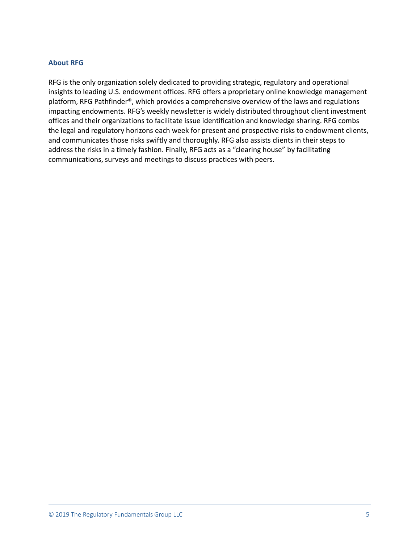# **About RFG**

RFG is the only organization solely dedicated to providing strategic, regulatory and operational insights to leading U.S. endowment offices. RFG offers a proprietary online knowledge management platform, RFG Pathfinder®, which provides a comprehensive overview of the laws and regulations impacting endowments. RFG's weekly newsletter is widely distributed throughout client investment offices and their organizations to facilitate issue identification and knowledge sharing. RFG combs the legal and regulatory horizons each week for present and prospective risks to endowment clients, and communicates those risks swiftly and thoroughly. RFG also assists clients in their steps to address the risks in a timely fashion. Finally, RFG acts as a "clearing house" by facilitating communications, surveys and meetings to discuss practices with peers.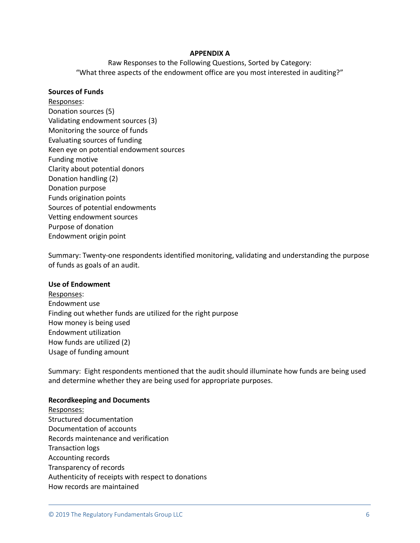#### **APPENDIX A**

Raw Responses to the Following Questions, Sorted by Category: "What three aspects of the endowment office are you most interested in auditing?"

#### **Sources of Funds**

Responses: Donation sources (5) Validating endowment sources (3) Monitoring the source of funds Evaluating sources of funding Keen eye on potential endowment sources Funding motive Clarity about potential donors Donation handling (2) Donation purpose Funds origination points Sources of potential endowments Vetting endowment sources Purpose of donation Endowment origin point

Summary: Twenty-one respondents identified monitoring, validating and understanding the purpose of funds as goals of an audit.

#### **Use of Endowment**

Responses: Endowment use Finding out whether funds are utilized for the right purpose How money is being used Endowment utilization How funds are utilized (2) Usage of funding amount

Summary: Eight respondents mentioned that the audit should illuminate how funds are being used and determine whether they are being used for appropriate purposes.

#### **Recordkeeping and Documents**

Responses: Structured documentation Documentation of accounts Records maintenance and verification Transaction logs Accounting records Transparency of records Authenticity of receipts with respect to donations How records are maintained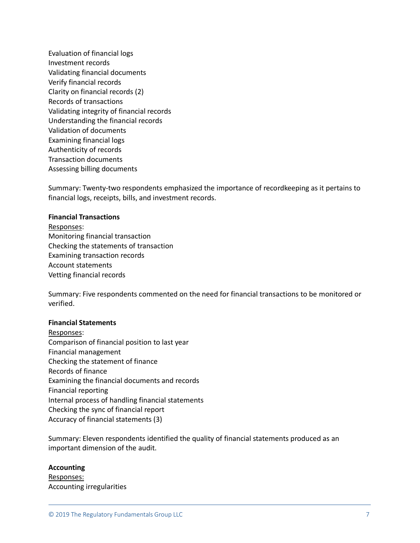Evaluation of financial logs Investment records Validating financial documents Verify financial records Clarity on financial records (2) Records of transactions Validating integrity of financial records Understanding the financial records Validation of documents Examining financial logs Authenticity of records Transaction documents Assessing billing documents

Summary: Twenty-two respondents emphasized the importance of recordkeeping as it pertains to financial logs, receipts, bills, and investment records.

#### **Financial Transactions**

Responses: Monitoring financial transaction Checking the statements of transaction Examining transaction records Account statements Vetting financial records

Summary: Five respondents commented on the need for financial transactions to be monitored or verified.

#### **Financial Statements**

Responses: Comparison of financial position to last year Financial management Checking the statement of finance Records of finance Examining the financial documents and records Financial reporting Internal process of handling financial statements Checking the sync of financial report Accuracy of financial statements (3)

Summary: Eleven respondents identified the quality of financial statements produced as an important dimension of the audit.

#### **Accounting**

Responses: Accounting irregularities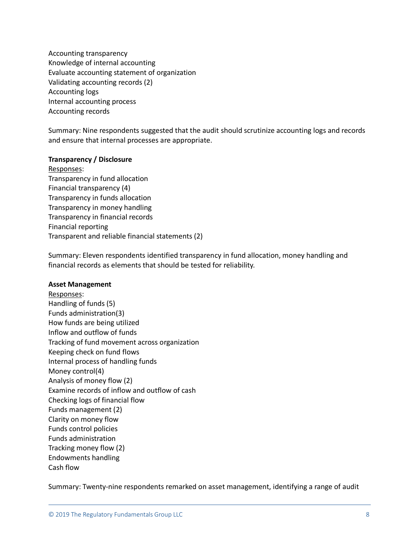Accounting transparency Knowledge of internal accounting Evaluate accounting statement of organization Validating accounting records (2) Accounting logs Internal accounting process Accounting records

Summary: Nine respondents suggested that the audit should scrutinize accounting logs and records and ensure that internal processes are appropriate.

## **Transparency / Disclosure**

Responses: Transparency in fund allocation Financial transparency (4) Transparency in funds allocation Transparency in money handling Transparency in financial records Financial reporting Transparent and reliable financial statements (2)

Summary: Eleven respondents identified transparency in fund allocation, money handling and financial records as elements that should be tested for reliability.

#### **Asset Management**

Responses: Handling of funds (5) Funds administration(3) How funds are being utilized Inflow and outflow of funds Tracking of fund movement across organization Keeping check on fund flows Internal process of handling funds Money control(4) Analysis of money flow (2) Examine records of inflow and outflow of cash Checking logs of financial flow Funds management (2) Clarity on money flow Funds control policies Funds administration Tracking money flow (2) Endowments handling Cash flow

Summary: Twenty-nine respondents remarked on asset management, identifying a range of audit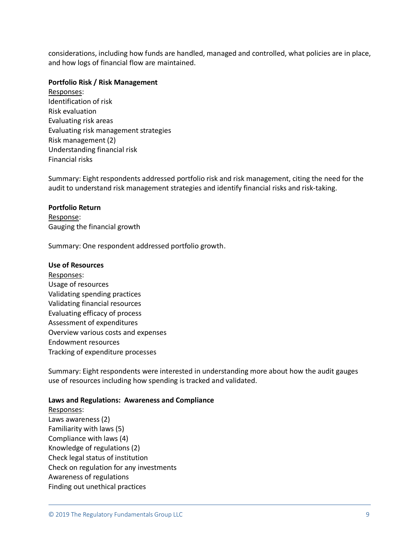considerations, including how funds are handled, managed and controlled, what policies are in place, and how logs of financial flow are maintained.

#### **Portfolio Risk / Risk Management**

Responses: Identification of risk Risk evaluation Evaluating risk areas Evaluating risk management strategies Risk management (2) Understanding financial risk Financial risks

Summary: Eight respondents addressed portfolio risk and risk management, citing the need for the audit to understand risk management strategies and identify financial risks and risk-taking.

## **Portfolio Return**

Response: Gauging the financial growth

Summary: One respondent addressed portfolio growth.

## **Use of Resources**

Responses: Usage of resources Validating spending practices Validating financial resources Evaluating efficacy of process Assessment of expenditures Overview various costs and expenses Endowment resources Tracking of expenditure processes

Summary: Eight respondents were interested in understanding more about how the audit gauges use of resources including how spending is tracked and validated.

# **Laws and Regulations: Awareness and Compliance**

Responses: Laws awareness (2) Familiarity with laws (5) Compliance with laws (4) Knowledge of regulations (2) Check legal status of institution Check on regulation for any investments Awareness of regulations Finding out unethical practices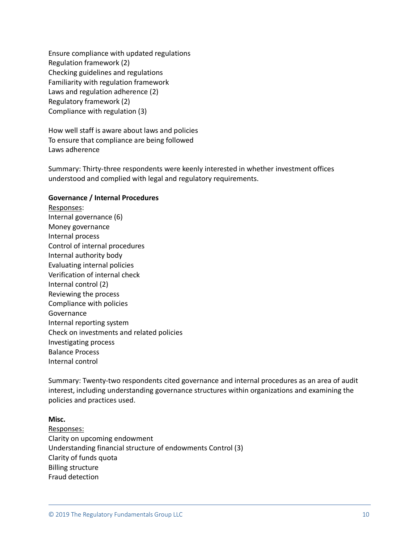Ensure compliance with updated regulations Regulation framework (2) Checking guidelines and regulations Familiarity with regulation framework Laws and regulation adherence (2) Regulatory framework (2) Compliance with regulation (3)

How well staff is aware about laws and policies To ensure that compliance are being followed Laws adherence

Summary: Thirty-three respondents were keenly interested in whether investment offices understood and complied with legal and regulatory requirements.

## **Governance / Internal Procedures**

Responses: Internal governance (6) Money governance Internal process Control of internal procedures Internal authority body Evaluating internal policies Verification of internal check Internal control (2) Reviewing the process Compliance with policies Governance Internal reporting system Check on investments and related policies Investigating process Balance Process Internal control

Summary: Twenty-two respondents cited governance and internal procedures as an area of audit interest, including understanding governance structures within organizations and examining the policies and practices used.

## **Misc.**

Responses: Clarity on upcoming endowment Understanding financial structure of endowments Control (3) Clarity of funds quota Billing structure Fraud detection